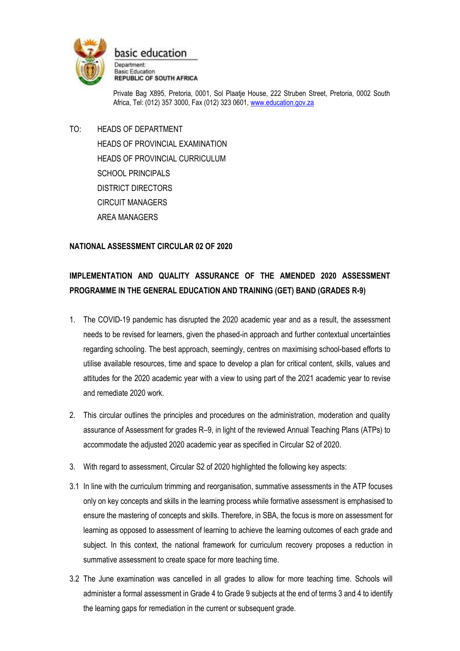

basic education

Department: **Basic Education REPUBLIC OF SOUTH AFRICA** 

Private Bag X895, Pretoria, 0001, Sol Plaatje House, 222 Struben Street, Pretoria, 0002 South Africa, Tel: (012) 357 3000, Fax (012) 323 0601[, www.education.gov.za](http://www.education.gov.za/)

TO: HEADS OF DEPARTMENT HEADS OF PROVINCIAL EXAMINATION HEADS OF PROVINCIAL CURRICULUM SCHOOL PRINCIPALS DISTRICT DIRECTORS CIRCUIT MANAGERS AREA MANAGERS

## **NATIONAL ASSESSMENT CIRCULAR 02 OF 2020**

# **IMPLEMENTATION AND QUALITY ASSURANCE OF THE AMENDED 2020 ASSESSMENT PROGRAMME IN THE GENERAL EDUCATION AND TRAINING (GET) BAND (GRADES R-9)**

- 1. The COVID-19 pandemic has disrupted the 2020 academic year and as a result, the assessment needs to be revised for learners, given the phased-in approach and further contextual uncertainties regarding schooling. The best approach, seemingly, centres on maximising school-based efforts to utilise available resources, time and space to develop a plan for critical content, skills, values and attitudes for the 2020 academic year with a view to using part of the 2021 academic year to revise and remediate 2020 work.
- 2. This circular outlines the principles and procedures on the administration, moderation and quality assurance of Assessment for grades R–9, in light of the reviewed Annual Teaching Plans (ATPs) to accommodate the adjusted 2020 academic year as specified in Circular S2 of 2020.
- 3. With regard to assessment, Circular S2 of 2020 highlighted the following key aspects:
- 3.1 In line with the curriculum trimming and reorganisation, summative assessments in the ATP focuses only on key concepts and skills in the learning process while formative assessment is emphasised to ensure the mastering of concepts and skills. Therefore, in SBA, the focus is more on assessment for learning as opposed to assessment of learning to achieve the learning outcomes of each grade and subject. In this context, the national framework for curriculum recovery proposes a reduction in summative assessment to create space for more teaching time.
- 3.2 The June examination was cancelled in all grades to allow for more teaching time. Schools will administer a formal assessment in Grade 4 to Grade 9 subjects at the end of terms 3 and 4 to identify the learning gaps for remediation in the current or subsequent grade.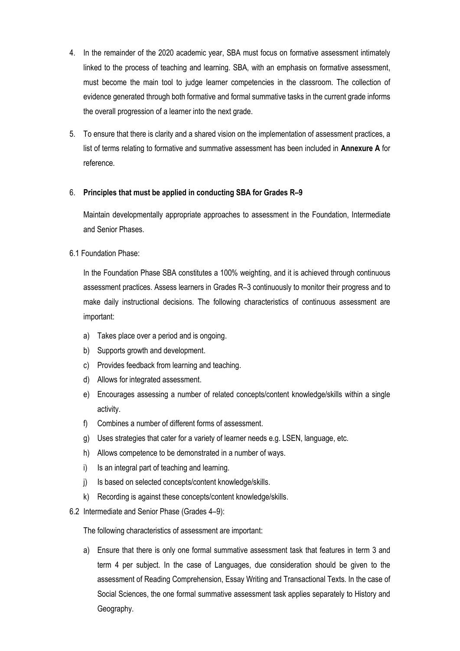- 4. In the remainder of the 2020 academic year, SBA must focus on formative assessment intimately linked to the process of teaching and learning. SBA, with an emphasis on formative assessment, must become the main tool to judge learner competencies in the classroom. The collection of evidence generated through both formative and formal summative tasks in the current grade informs the overall progression of a learner into the next grade.
- 5. To ensure that there is clarity and a shared vision on the implementation of assessment practices, a list of terms relating to formative and summative assessment has been included in **Annexure A** for reference.

## 6. **Principles that must be applied in conducting SBA for Grades R–9**

Maintain developmentally appropriate approaches to assessment in the Foundation, Intermediate and Senior Phases.

## 6.1 Foundation Phase:

In the Foundation Phase SBA constitutes a 100% weighting, and it is achieved through continuous assessment practices. Assess learners in Grades R–3 continuously to monitor their progress and to make daily instructional decisions. The following characteristics of continuous assessment are important:

- a) Takes place over a period and is ongoing.
- b) Supports growth and development.
- c) Provides feedback from learning and teaching.
- d) Allows for integrated assessment.
- e) Encourages assessing a number of related concepts/content knowledge/skills within a single activity.
- f) Combines a number of different forms of assessment.
- g) Uses strategies that cater for a variety of learner needs e.g. LSEN, language, etc.
- h) Allows competence to be demonstrated in a number of ways.
- i) Is an integral part of teaching and learning.
- j) Is based on selected concepts/content knowledge/skills.
- k) Recording is against these concepts/content knowledge/skills.
- 6.2 Intermediate and Senior Phase (Grades 4–9):

The following characteristics of assessment are important:

a) Ensure that there is only one formal summative assessment task that features in term 3 and term 4 per subject. In the case of Languages, due consideration should be given to the assessment of Reading Comprehension, Essay Writing and Transactional Texts. In the case of Social Sciences, the one formal summative assessment task applies separately to History and Geography.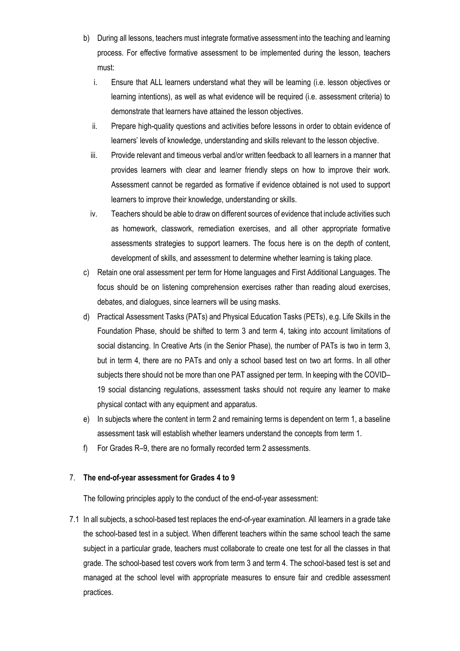- b) During all lessons, teachers must integrate formative assessment into the teaching and learning process. For effective formative assessment to be implemented during the lesson, teachers must:
	- i. Ensure that ALL learners understand what they will be learning (i.e. lesson objectives or learning intentions), as well as what evidence will be required (i.e. assessment criteria) to demonstrate that learners have attained the lesson objectives.
	- ii. Prepare high-quality questions and activities before lessons in order to obtain evidence of learners' levels of knowledge, understanding and skills relevant to the lesson objective.
	- iii. Provide relevant and timeous verbal and/or written feedback to all learners in a manner that provides learners with clear and learner friendly steps on how to improve their work. Assessment cannot be regarded as formative if evidence obtained is not used to support learners to improve their knowledge, understanding or skills.
	- iv. Teachers should be able to draw on different sources of evidence that include activities such as homework, classwork, remediation exercises, and all other appropriate formative assessments strategies to support learners. The focus here is on the depth of content, development of skills, and assessment to determine whether learning is taking place.
- c) Retain one oral assessment per term for Home languages and First Additional Languages. The focus should be on listening comprehension exercises rather than reading aloud exercises, debates, and dialogues, since learners will be using masks.
- d) Practical Assessment Tasks (PATs) and Physical Education Tasks (PETs), e.g. Life Skills in the Foundation Phase, should be shifted to term 3 and term 4, taking into account limitations of social distancing. In Creative Arts (in the Senior Phase), the number of PATs is two in term 3, but in term 4, there are no PATs and only a school based test on two art forms. In all other subjects there should not be more than one PAT assigned per term. In keeping with the COVID– 19 social distancing regulations, assessment tasks should not require any learner to make physical contact with any equipment and apparatus.
- e) In subjects where the content in term 2 and remaining terms is dependent on term 1, a baseline assessment task will establish whether learners understand the concepts from term 1.
- f) For Grades R–9, there are no formally recorded term 2 assessments.

#### 7. **The end-of-year assessment for Grades 4 to 9**

The following principles apply to the conduct of the end-of-year assessment:

7.1 In all subjects, a school-based test replaces the end-of-year examination. All learners in a grade take the school-based test in a subject. When different teachers within the same school teach the same subject in a particular grade, teachers must collaborate to create one test for all the classes in that grade. The school-based test covers work from term 3 and term 4. The school-based test is set and managed at the school level with appropriate measures to ensure fair and credible assessment practices.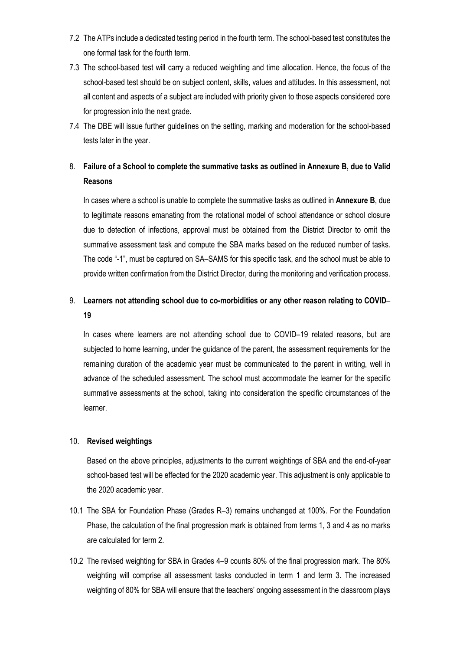- 7.2 The ATPs include a dedicated testing period in the fourth term. The school-based test constitutes the one formal task for the fourth term.
- 7.3 The school-based test will carry a reduced weighting and time allocation. Hence, the focus of the school-based test should be on subject content, skills, values and attitudes. In this assessment, not all content and aspects of a subject are included with priority given to those aspects considered core for progression into the next grade.
- 7.4 The DBE will issue further guidelines on the setting, marking and moderation for the school-based tests later in the year.

## 8. **Failure of a School to complete the summative tasks as outlined in Annexure B, due to Valid Reasons**

In cases where a school is unable to complete the summative tasks as outlined in **Annexure B**, due to legitimate reasons emanating from the rotational model of school attendance or school closure due to detection of infections, approval must be obtained from the District Director to omit the summative assessment task and compute the SBA marks based on the reduced number of tasks. The code "-1", must be captured on SA–SAMS for this specific task, and the school must be able to provide written confirmation from the District Director, during the monitoring and verification process.

## 9. **Learners not attending school due to co-morbidities or any other reason relating to COVID**– **19**

In cases where learners are not attending school due to COVID-19 related reasons, but are subjected to home learning, under the guidance of the parent, the assessment requirements for the remaining duration of the academic year must be communicated to the parent in writing, well in advance of the scheduled assessment. The school must accommodate the learner for the specific summative assessments at the school, taking into consideration the specific circumstances of the learner.

#### 10. **Revised weightings**

Based on the above principles, adjustments to the current weightings of SBA and the end-of-year school-based test will be effected for the 2020 academic year. This adjustment is only applicable to the 2020 academic year.

- 10.1 The SBA for Foundation Phase (Grades R–3) remains unchanged at 100%. For the Foundation Phase, the calculation of the final progression mark is obtained from terms 1, 3 and 4 as no marks are calculated for term 2.
- 10.2 The revised weighting for SBA in Grades 4–9 counts 80% of the final progression mark. The 80% weighting will comprise all assessment tasks conducted in term 1 and term 3. The increased weighting of 80% for SBA will ensure that the teachers' ongoing assessment in the classroom plays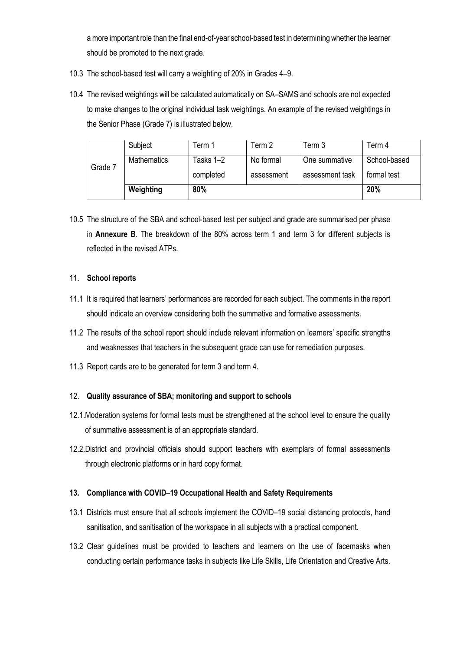a more important role than the final end-of-year school-based test in determining whether the learner should be promoted to the next grade.

- 10.3 The school-based test will carry a weighting of 20% in Grades 4–9.
- 10.4 The revised weightings will be calculated automatically on SA–SAMS and schools are not expected to make changes to the original individual task weightings. An example of the revised weightings in the Senior Phase (Grade 7) is illustrated below.

|         | Subject            | Term 1    | Term 2     | Term 3          | Term 4       |
|---------|--------------------|-----------|------------|-----------------|--------------|
| Grade 7 | <b>Mathematics</b> | Tasks 1–2 | No formal  | One summative   | School-based |
|         |                    | completed | assessment | assessment task | formal test  |
|         | Weighting          | 80%       | 20%        |                 |              |

10.5 The structure of the SBA and school-based test per subject and grade are summarised per phase in **Annexure B**. The breakdown of the 80% across term 1 and term 3 for different subjects is reflected in the revised ATPs.

## 11. **School reports**

- 11.1 It is required that learners' performances are recorded for each subject. The comments in the report should indicate an overview considering both the summative and formative assessments.
- 11.2 The results of the school report should include relevant information on learners' specific strengths and weaknesses that teachers in the subsequent grade can use for remediation purposes.
- 11.3 Report cards are to be generated for term 3 and term 4.

## 12. **Quality assurance of SBA; monitoring and support to schools**

- 12.1.Moderation systems for formal tests must be strengthened at the school level to ensure the quality of summative assessment is of an appropriate standard.
- 12.2.District and provincial officials should support teachers with exemplars of formal assessments through electronic platforms or in hard copy format.

### **13. Compliance with COVID**–**19 Occupational Health and Safety Requirements**

- 13.1 Districts must ensure that all schools implement the COVID–19 social distancing protocols, hand sanitisation, and sanitisation of the workspace in all subjects with a practical component.
- 13.2 Clear guidelines must be provided to teachers and learners on the use of facemasks when conducting certain performance tasks in subjects like Life Skills, Life Orientation and Creative Arts.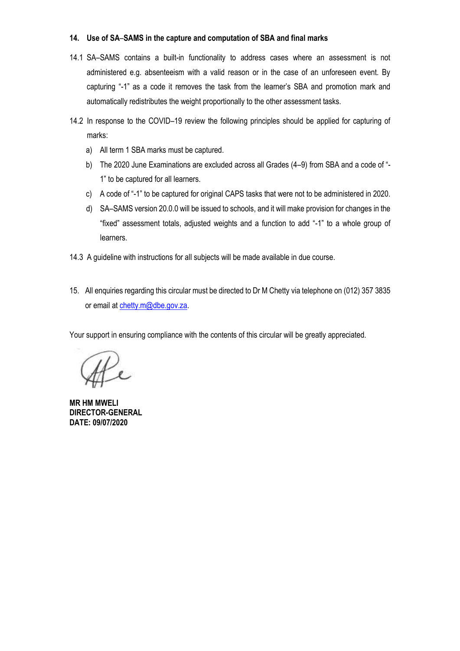### **14. Use of SA**–**SAMS in the capture and computation of SBA and final marks**

- 14.1 SA–SAMS contains a built-in functionality to address cases where an assessment is not administered e.g. absenteeism with a valid reason or in the case of an unforeseen event. By capturing "-1" as a code it removes the task from the learner's SBA and promotion mark and automatically redistributes the weight proportionally to the other assessment tasks.
- 14.2 In response to the COVID–19 review the following principles should be applied for capturing of marks:
	- a) All term 1 SBA marks must be captured.
	- b) The 2020 June Examinations are excluded across all Grades (4–9) from SBA and a code of "- 1" to be captured for all learners.
	- c) A code of "-1" to be captured for original CAPS tasks that were not to be administered in 2020.
	- d) SA–SAMS version 20.0.0 will be issued to schools, and it will make provision for changes in the "fixed" assessment totals, adjusted weights and a function to add "-1" to a whole group of learners.
- 14.3 A guideline with instructions for all subjects will be made available in due course.
- 15. All enquiries regarding this circular must be directed to Dr M Chetty via telephone on (012) 357 3835 or email at [chetty.m@dbe.gov.za.](mailto:chetty.m@dbe.gov.za)

Your support in ensuring compliance with the contents of this circular will be greatly appreciated.

ffe

**MR HM MWELI DIRECTOR-GENERAL DATE: 09/07/2020**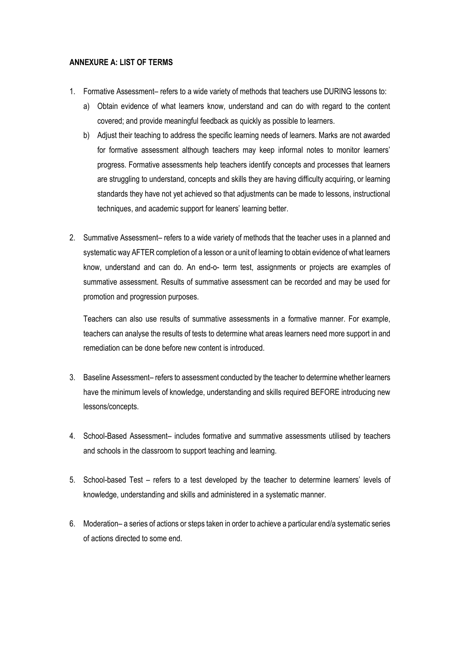## **ANNEXURE A: LIST OF TERMS**

- 1. Formative Assessment– refers to a wide variety of methods that teachers use DURING lessons to:
	- a) Obtain evidence of what learners know, understand and can do with regard to the content covered; and provide meaningful feedback as quickly as possible to learners.
	- b) Adjust their teaching to address the specific learning needs of learners. Marks are not awarded for formative assessment although teachers may keep informal notes to monitor learners' progress. Formative assessments help teachers identify concepts and processes that learners are struggling to understand, concepts and skills they are having difficulty acquiring, or learning standards they have not yet achieved so that adjustments can be made to lessons, instructional techniques, and academic support for leaners' learning better.
- 2. Summative Assessment– refers to a wide variety of methods that the teacher uses in a planned and systematic way AFTER completion of a lesson or a unit of learning to obtain evidence of what learners know, understand and can do. An end-o- term test, assignments or projects are examples of summative assessment. Results of summative assessment can be recorded and may be used for promotion and progression purposes.

Teachers can also use results of summative assessments in a formative manner. For example, teachers can analyse the results of tests to determine what areas learners need more support in and remediation can be done before new content is introduced.

- 3. Baseline Assessment– refers to assessment conducted by the teacher to determine whether learners have the minimum levels of knowledge, understanding and skills required BEFORE introducing new lessons/concepts.
- 4. School-Based Assessment– includes formative and summative assessments utilised by teachers and schools in the classroom to support teaching and learning.
- 5. School-based Test refers to a test developed by the teacher to determine learners' levels of knowledge, understanding and skills and administered in a systematic manner.
- 6. Moderation– a series of actions or steps taken in order to achieve a particular end/a systematic series of actions directed to some end.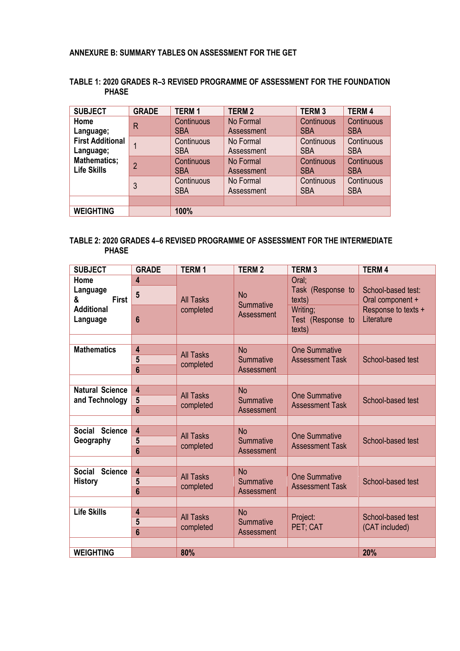## **ANNEXURE B: SUMMARY TABLES ON ASSESSMENT FOR THE GET**

| <b>SUBJECT</b>                            | <b>GRADE</b>   | <b>TERM1</b>             | <b>TERM2</b>            | <b>TERM3</b>                    | <b>TERM4</b>             |
|-------------------------------------------|----------------|--------------------------|-------------------------|---------------------------------|--------------------------|
| Home<br>Language;                         | R              | Continuous<br><b>SBA</b> | No Formal<br>Assessment | Continuous<br><b>SBA</b>        | Continuous<br><b>SBA</b> |
| <b>First Additional</b><br>Language;      |                | Continuous<br><b>SBA</b> | No Formal<br>Assessment | <b>Continuous</b><br><b>SBA</b> | Continuous<br><b>SBA</b> |
| <b>Mathematics;</b><br><b>Life Skills</b> | $\overline{2}$ | Continuous<br><b>SBA</b> | No Formal<br>Assessment | Continuous<br><b>SBA</b>        | Continuous<br><b>SBA</b> |
|                                           | 3              | Continuous<br><b>SBA</b> | No Formal<br>Assessment | Continuous<br><b>SBA</b>        | Continuous<br><b>SBA</b> |
|                                           |                |                          |                         |                                 |                          |
| <b>WEIGHTING</b>                          |                | 100%                     |                         |                                 |                          |

## **TABLE 1: 2020 GRADES R–3 REVISED PROGRAMME OF ASSESSMENT FOR THE FOUNDATION PHASE**

## **TABLE 2: 2020 GRADES 4–6 REVISED PROGRAMME OF ASSESSMENT FOR THE INTERMEDIATE PHASE**

| <b>SUBJECT</b>                  | <b>GRADE</b>            | <b>TERM1</b>                  | <b>TERM2</b>                         | <b>TERM3</b>                                   | <b>TERM4</b>                                                                |
|---------------------------------|-------------------------|-------------------------------|--------------------------------------|------------------------------------------------|-----------------------------------------------------------------------------|
| Home<br>Language                | 4                       | <b>All Tasks</b><br>completed | <b>No</b><br>Summative<br>Assessment | Oral:<br>Task (Response to<br>texts)           | School-based test:<br>Oral component +<br>Response to texts +<br>Literature |
| <b>First</b><br>&               | $5\phantom{.0}$         |                               |                                      |                                                |                                                                             |
| <b>Additional</b><br>Language   | 6                       |                               |                                      | Writing;<br>Test (Response to<br>texts)        |                                                                             |
|                                 |                         |                               |                                      |                                                |                                                                             |
| <b>Mathematics</b>              | 4                       | <b>All Tasks</b><br>completed | <b>No</b><br>Summative<br>Assessment | <b>One Summative</b><br><b>Assessment Task</b> | School-based test                                                           |
|                                 | 5                       |                               |                                      |                                                |                                                                             |
|                                 | $6\phantom{a}$          |                               |                                      |                                                |                                                                             |
|                                 |                         |                               |                                      |                                                |                                                                             |
| <b>Natural Science</b>          | 4                       | <b>All Tasks</b>              | <b>No</b>                            | <b>One Summative</b>                           |                                                                             |
| and Technology                  | 5                       | completed                     | Summative                            | <b>Assessment Task</b>                         | School-based test                                                           |
|                                 | 6                       |                               | Assessment                           |                                                |                                                                             |
|                                 |                         |                               |                                      |                                                |                                                                             |
| <b>Science</b><br>Social        | $\overline{\mathbf{4}}$ | <b>All Tasks</b><br>completed | <b>No</b><br>Summative               | <b>One Summative</b><br><b>Assessment Task</b> | School-based test                                                           |
| Geography                       | 5                       |                               |                                      |                                                |                                                                             |
|                                 | 6                       |                               | Assessment                           |                                                |                                                                             |
|                                 |                         |                               |                                      |                                                |                                                                             |
| <b>Social</b><br><b>Science</b> | $\overline{\mathbf{4}}$ | <b>All Tasks</b><br>completed | <b>No</b><br>Summative<br>Assessment | <b>One Summative</b><br><b>Assessment Task</b> | School-based test                                                           |
| <b>History</b>                  | 5<br>6                  |                               |                                      |                                                |                                                                             |
|                                 |                         |                               |                                      |                                                |                                                                             |
| <b>Life Skills</b>              | 4                       |                               |                                      |                                                |                                                                             |
|                                 | 5                       | <b>All Tasks</b><br>completed | <b>No</b><br>Summative<br>Assessment | Project:<br>PET; CAT                           | School-based test<br>(CAT included)                                         |
|                                 | $6\phantom{a}$          |                               |                                      |                                                |                                                                             |
|                                 |                         |                               |                                      |                                                |                                                                             |
| <b>WEIGHTING</b>                |                         | 80%                           |                                      |                                                | 20%                                                                         |
|                                 |                         |                               |                                      |                                                |                                                                             |